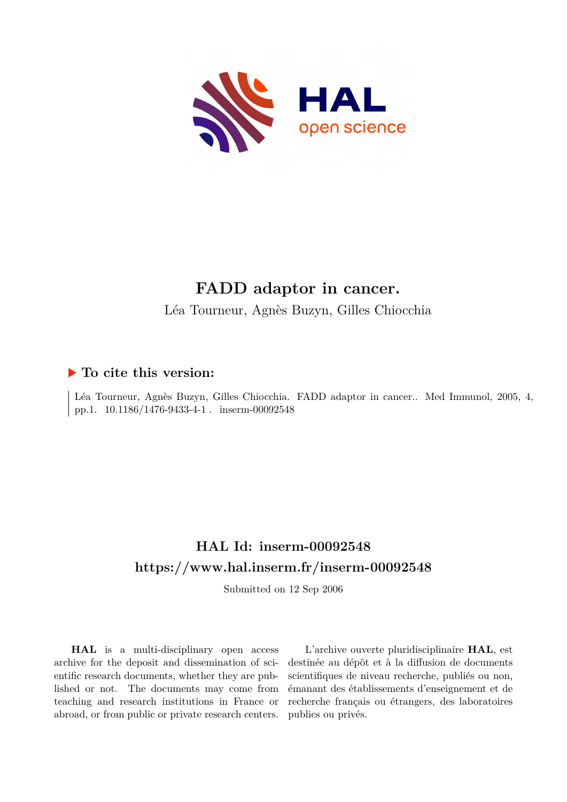

# **FADD adaptor in cancer.** Léa Tourneur, Agnès Buzyn, Gilles Chiocchia

## **To cite this version:**

Léa Tourneur, Agnès Buzyn, Gilles Chiocchia. FADD adaptor in cancer.. Med Immunol, 2005, 4, pp.1. 10.1186/1476-9433-4-1 . inserm-00092548

## **HAL Id: inserm-00092548 <https://www.hal.inserm.fr/inserm-00092548>**

Submitted on 12 Sep 2006

**HAL** is a multi-disciplinary open access archive for the deposit and dissemination of scientific research documents, whether they are published or not. The documents may come from teaching and research institutions in France or abroad, or from public or private research centers.

L'archive ouverte pluridisciplinaire **HAL**, est destinée au dépôt et à la diffusion de documents scientifiques de niveau recherche, publiés ou non, émanant des établissements d'enseignement et de recherche français ou étrangers, des laboratoires publics ou privés.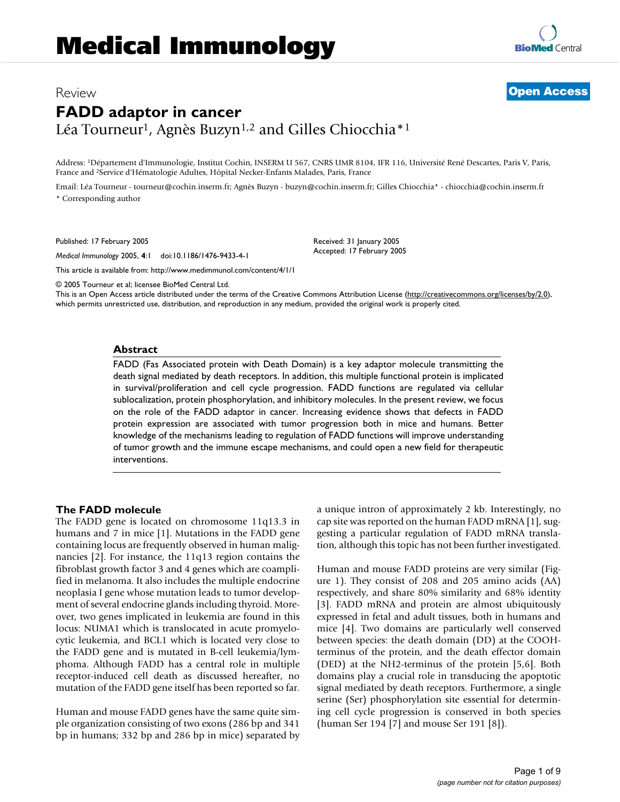## Review **[Open Access](http://www.biomedcentral.com/info/about/charter/) FADD adaptor in cancer** Léa Tourneur<sup>1</sup>, Agnès Buzyn<sup>1,2</sup> and Gilles Chiocchia<sup>\*1</sup>

Address: <sup>1</sup>Département d'Immunologie, Institut Cochin, INSERM U 567, CNRS UMR 8104, IFR 116, Université René Descartes, Paris V, Paris, France and <sup>2</sup>Service d'Hématologie Adultes, Hôpital Necker-Enfants Malades, Paris, France

Email: Léa Tourneur - tourneur@cochin.inserm.fr; Agnès Buzyn - buzyn@cochin.inserm.fr; Gilles Chiocchia\* - chiocchia@cochin.inserm.fr \* Corresponding author

Published: 17 February 2005

*Medical Immunology* 2005, **4**:1 doi:10.1186/1476-9433-4-1

[This article is available from: http://www.medimmunol.com/content/4/1/1](http://www.medimmunol.com/content/4/1/1)

© 2005 Tourneur et al; licensee BioMed Central Ltd.

This is an Open Access article distributed under the terms of the Creative Commons Attribution License [\(http://creativecommons.org/licenses/by/2.0\)](http://creativecommons.org/licenses/by/2.0), which permits unrestricted use, distribution, and reproduction in any medium, provided the original work is properly cited.

Received: 31 January 2005 Accepted: 17 February 2005

#### **Abstract**

FADD (Fas Associated protein with Death Domain) is a key adaptor molecule transmitting the death signal mediated by death receptors. In addition, this multiple functional protein is implicated in survival/proliferation and cell cycle progression. FADD functions are regulated via cellular sublocalization, protein phosphorylation, and inhibitory molecules. In the present review, we focus on the role of the FADD adaptor in cancer. Increasing evidence shows that defects in FADD protein expression are associated with tumor progression both in mice and humans. Better knowledge of the mechanisms leading to regulation of FADD functions will improve understanding of tumor growth and the immune escape mechanisms, and could open a new field for therapeutic interventions.

#### **The FADD molecule**

The FADD gene is located on chromosome 11q13.3 in humans and 7 in mice [1]. Mutations in the FADD gene containing locus are frequently observed in human malignancies [2]. For instance, the 11q13 region contains the fibroblast growth factor 3 and 4 genes which are coamplified in melanoma. It also includes the multiple endocrine neoplasia I gene whose mutation leads to tumor development of several endocrine glands including thyroid. Moreover, two genes implicated in leukemia are found in this locus: NUMA1 which is translocated in acute promyelocytic leukemia, and BCL1 which is located very close to the FADD gene and is mutated in B-cell leukemia/lymphoma. Although FADD has a central role in multiple receptor-induced cell death as discussed hereafter, no mutation of the FADD gene itself has been reported so far.

Human and mouse FADD genes have the same quite simple organization consisting of two exons (286 bp and 341 bp in humans; 332 bp and 286 bp in mice) separated by a unique intron of approximately 2 kb. Interestingly, no cap site was reported on the human FADD mRNA [1], suggesting a particular regulation of FADD mRNA translation, although this topic has not been further investigated.

Human and mouse FADD proteins are very similar (Figure 1). They consist of 208 and 205 amino acids (AA) respectively, and share 80% similarity and 68% identity [3]. FADD mRNA and protein are almost ubiquitously expressed in fetal and adult tissues, both in humans and mice [4]. Two domains are particularly well conserved between species: the death domain (DD) at the COOHterminus of the protein, and the death effector domain (DED) at the NH2-terminus of the protein [5,6]. Both domains play a crucial role in transducing the apoptotic signal mediated by death receptors. Furthermore, a single serine (Ser) phosphorylation site essential for determining cell cycle progression is conserved in both species (human Ser 194 [7] and mouse Ser 191 [8]).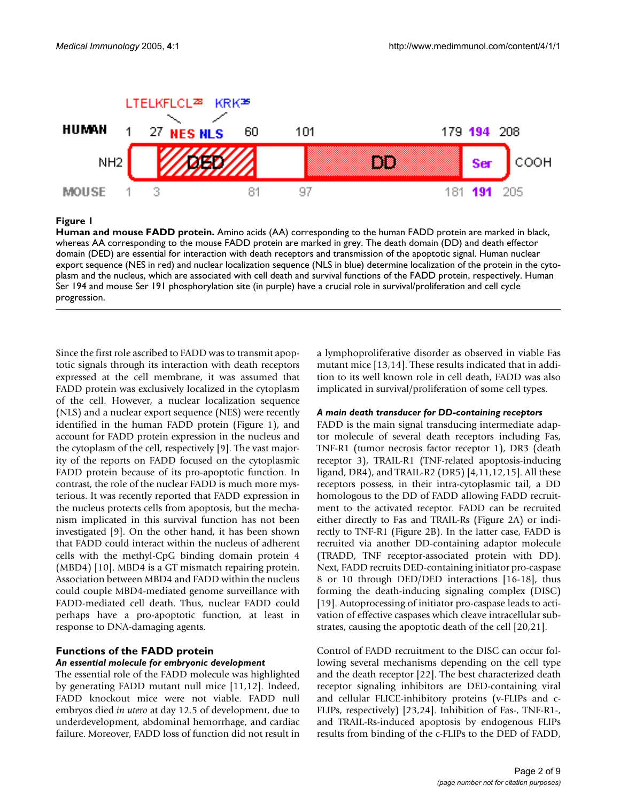

#### **Figure 1**

**Human and mouse FADD protein.** Amino acids (AA) corresponding to the human FADD protein are marked in black, whereas AA corresponding to the mouse FADD protein are marked in grey. The death domain (DD) and death effector domain (DED) are essential for interaction with death receptors and transmission of the apoptotic signal. Human nuclear export sequence (NES in red) and nuclear localization sequence (NLS in blue) determine localization of the protein in the cytoplasm and the nucleus, which are associated with cell death and survival functions of the FADD protein, respectively. Human Ser 194 and mouse Ser 191 phosphorylation site (in purple) have a crucial role in survival/proliferation and cell cycle progression.

Since the first role ascribed to FADD was to transmit apoptotic signals through its interaction with death receptors expressed at the cell membrane, it was assumed that FADD protein was exclusively localized in the cytoplasm of the cell. However, a nuclear localization sequence (NLS) and a nuclear export sequence (NES) were recently identified in the human FADD protein (Figure 1), and account for FADD protein expression in the nucleus and the cytoplasm of the cell, respectively [9]. The vast majority of the reports on FADD focused on the cytoplasmic FADD protein because of its pro-apoptotic function. In contrast, the role of the nuclear FADD is much more mysterious. It was recently reported that FADD expression in the nucleus protects cells from apoptosis, but the mechanism implicated in this survival function has not been investigated [9]. On the other hand, it has been shown that FADD could interact within the nucleus of adherent cells with the methyl-CpG binding domain protein 4 (MBD4) [10]. MBD4 is a GT mismatch repairing protein. Association between MBD4 and FADD within the nucleus could couple MBD4-mediated genome surveillance with FADD-mediated cell death. Thus, nuclear FADD could perhaps have a pro-apoptotic function, at least in response to DNA-damaging agents.

#### **Functions of the FADD protein** *An essential molecule for embryonic development*

The essential role of the FADD molecule was highlighted by generating FADD mutant null mice [11,12]. Indeed, FADD knockout mice were not viable. FADD null embryos died *in utero* at day 12.5 of development, due to underdevelopment, abdominal hemorrhage, and cardiac failure. Moreover, FADD loss of function did not result in a lymphoproliferative disorder as observed in viable Fas mutant mice [13,14]. These results indicated that in addition to its well known role in cell death, FADD was also implicated in survival/proliferation of some cell types.

#### *A main death transducer for DD-containing receptors*

FADD is the main signal transducing intermediate adaptor molecule of several death receptors including Fas, TNF-R1 (tumor necrosis factor receptor 1), DR3 (death receptor 3), TRAIL-R1 (TNF-related apoptosis-inducing ligand, DR4), and TRAIL-R2 (DR5) [4,11,12,15]. All these receptors possess, in their intra-cytoplasmic tail, a DD homologous to the DD of FADD allowing FADD recruitment to the activated receptor. FADD can be recruited either directly to Fas and TRAIL-Rs (Figure [2](#page-3-0)A) or indirectly to TNF-R1 (Figure [2](#page-3-0)B). In the latter case, FADD is recruited via another DD-containing adaptor molecule (TRADD, TNF receptor-associated protein with DD). Next, FADD recruits DED-containing initiator pro-caspase 8 or 10 through DED/DED interactions [16-18], thus forming the death-inducing signaling complex (DISC) [19]. Autoprocessing of initiator pro-caspase leads to activation of effective caspases which cleave intracellular substrates, causing the apoptotic death of the cell [20,21].

Control of FADD recruitment to the DISC can occur following several mechanisms depending on the cell type and the death receptor [22]. The best characterized death receptor signaling inhibitors are DED-containing viral and cellular FLICE-inhibitory proteins (v-FLIPs and c-FLIPs, respectively) [23,24]. Inhibition of Fas-, TNF-R1-, and TRAIL-Rs-induced apoptosis by endogenous FLIPs results from binding of the c-FLIPs to the DED of FADD,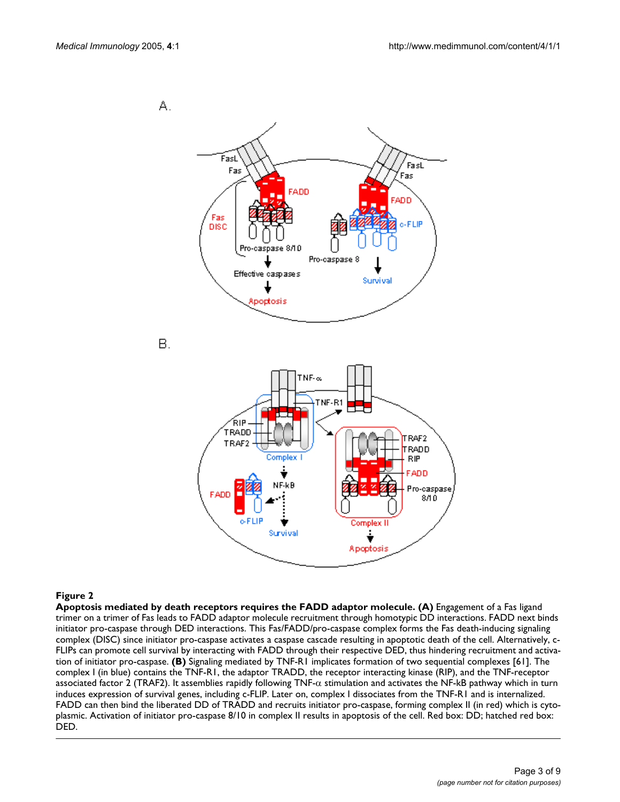<span id="page-3-0"></span>

#### Figure 2

**Apoptosis mediated by death receptors requires the FADD adaptor molecule. (A)** Engagement of a Fas ligand trimer on a trimer of Fas leads to FADD adaptor molecule recruitment through homotypic DD interactions. FADD next binds initiator pro-caspase through DED interactions. This Fas/FADD/pro-caspase complex forms the Fas death-inducing signaling complex (DISC) since initiator pro-caspase activates a caspase cascade resulting in apoptotic death of the cell. Alternatively, c-FLIPs can promote cell survival by interacting with FADD through their respective DED, thus hindering recruitment and activation of initiator pro-caspase. **(B)** Signaling mediated by TNF-R1 implicates formation of two sequential complexes [61]. The complex I (in blue) contains the TNF-R1, the adaptor TRADD, the receptor interacting kinase (RIP), and the TNF-receptor associated factor 2 (TRAF2). It assemblies rapidly following TNF- $\alpha$  stimulation and activates the NF-kB pathway which in turn induces expression of survival genes, including c-FLIP. Later on, complex I dissociates from the TNF-R1 and is internalized. FADD can then bind the liberated DD of TRADD and recruits initiator pro-caspase, forming complex II (in red) which is cytoplasmic. Activation of initiator pro-caspase 8/10 in complex II results in apoptosis of the cell. Red box: DD; hatched red box: DED.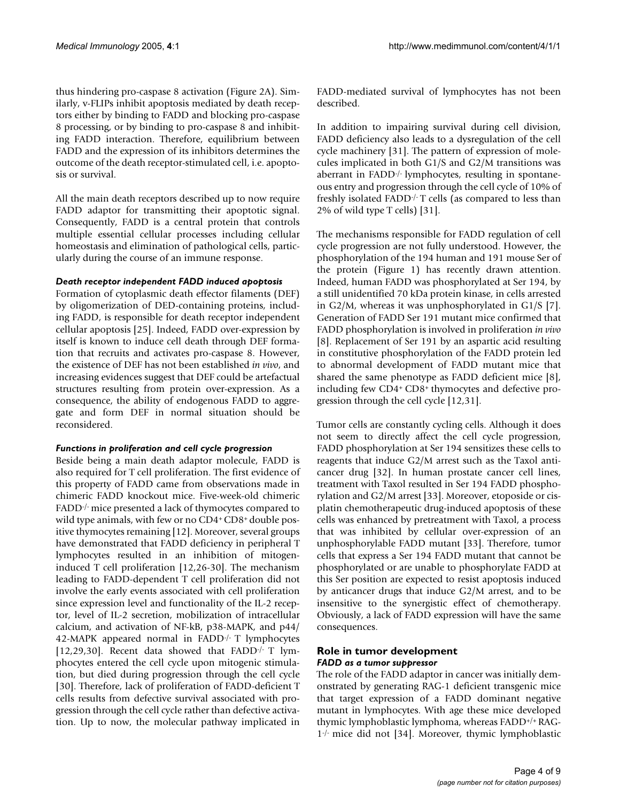thus hindering pro-caspase 8 activation (Figure [2](#page-3-0)A). Similarly, v-FLIPs inhibit apoptosis mediated by death receptors either by binding to FADD and blocking pro-caspase 8 processing, or by binding to pro-caspase 8 and inhibiting FADD interaction. Therefore, equilibrium between FADD and the expression of its inhibitors determines the outcome of the death receptor-stimulated cell, i.e. apoptosis or survival.

All the main death receptors described up to now require FADD adaptor for transmitting their apoptotic signal. Consequently, FADD is a central protein that controls multiple essential cellular processes including cellular homeostasis and elimination of pathological cells, particularly during the course of an immune response.

#### *Death receptor independent FADD induced apoptosis*

Formation of cytoplasmic death effector filaments (DEF) by oligomerization of DED-containing proteins, including FADD, is responsible for death receptor independent cellular apoptosis [25]. Indeed, FADD over-expression by itself is known to induce cell death through DEF formation that recruits and activates pro-caspase 8. However, the existence of DEF has not been established *in vivo*, and increasing evidences suggest that DEF could be artefactual structures resulting from protein over-expression. As a consequence, the ability of endogenous FADD to aggregate and form DEF in normal situation should be reconsidered.

#### *Functions in proliferation and cell cycle progression*

Beside being a main death adaptor molecule, FADD is also required for T cell proliferation. The first evidence of this property of FADD came from observations made in chimeric FADD knockout mice. Five-week-old chimeric FADD-/- mice presented a lack of thymocytes compared to wild type animals, with few or no CD4+ CD8+ double positive thymocytes remaining [12]. Moreover, several groups have demonstrated that FADD deficiency in peripheral T lymphocytes resulted in an inhibition of mitogeninduced T cell proliferation [12,26-30]. The mechanism leading to FADD-dependent T cell proliferation did not involve the early events associated with cell proliferation since expression level and functionality of the IL-2 receptor, level of IL-2 secretion, mobilization of intracellular calcium, and activation of NF-kB, p38-MAPK, and p44/ 42-MAPK appeared normal in FADD-/- T lymphocytes [12,29,30]. Recent data showed that FADD-/- T lymphocytes entered the cell cycle upon mitogenic stimulation, but died during progression through the cell cycle [30]. Therefore, lack of proliferation of FADD-deficient T cells results from defective survival associated with progression through the cell cycle rather than defective activation. Up to now, the molecular pathway implicated in FADD-mediated survival of lymphocytes has not been described.

In addition to impairing survival during cell division, FADD deficiency also leads to a dysregulation of the cell cycle machinery [31]. The pattern of expression of molecules implicated in both G1/S and G2/M transitions was aberrant in FADD-/- lymphocytes, resulting in spontaneous entry and progression through the cell cycle of 10% of freshly isolated FADD-/- T cells (as compared to less than 2% of wild type T cells) [31].

The mechanisms responsible for FADD regulation of cell cycle progression are not fully understood. However, the phosphorylation of the 194 human and 191 mouse Ser of the protein (Figure 1) has recently drawn attention. Indeed, human FADD was phosphorylated at Ser 194, by a still unidentified 70 kDa protein kinase, in cells arrested in G2/M, whereas it was unphosphorylated in G1/S [7]. Generation of FADD Ser 191 mutant mice confirmed that FADD phosphorylation is involved in proliferation *in vivo* [8]. Replacement of Ser 191 by an aspartic acid resulting in constitutive phosphorylation of the FADD protein led to abnormal development of FADD mutant mice that shared the same phenotype as FADD deficient mice [8], including few CD4+ CD8+ thymocytes and defective progression through the cell cycle [12,31].

Tumor cells are constantly cycling cells. Although it does not seem to directly affect the cell cycle progression, FADD phosphorylation at Ser 194 sensitizes these cells to reagents that induce G2/M arrest such as the Taxol anticancer drug [32]. In human prostate cancer cell lines, treatment with Taxol resulted in Ser 194 FADD phosphorylation and G2/M arrest [33]. Moreover, etoposide or cisplatin chemotherapeutic drug-induced apoptosis of these cells was enhanced by pretreatment with Taxol, a process that was inhibited by cellular over-expression of an unphosphorylable FADD mutant [33]. Therefore, tumor cells that express a Ser 194 FADD mutant that cannot be phosphorylated or are unable to phosphorylate FADD at this Ser position are expected to resist apoptosis induced by anticancer drugs that induce G2/M arrest, and to be insensitive to the synergistic effect of chemotherapy. Obviously, a lack of FADD expression will have the same consequences.

#### **Role in tumor development** *FADD as a tumor suppressor*

The role of the FADD adaptor in cancer was initially demonstrated by generating RAG-1 deficient transgenic mice that target expression of a FADD dominant negative mutant in lymphocytes. With age these mice developed thymic lymphoblastic lymphoma, whereas FADD+/+ RAG-1-/- mice did not [34]. Moreover, thymic lymphoblastic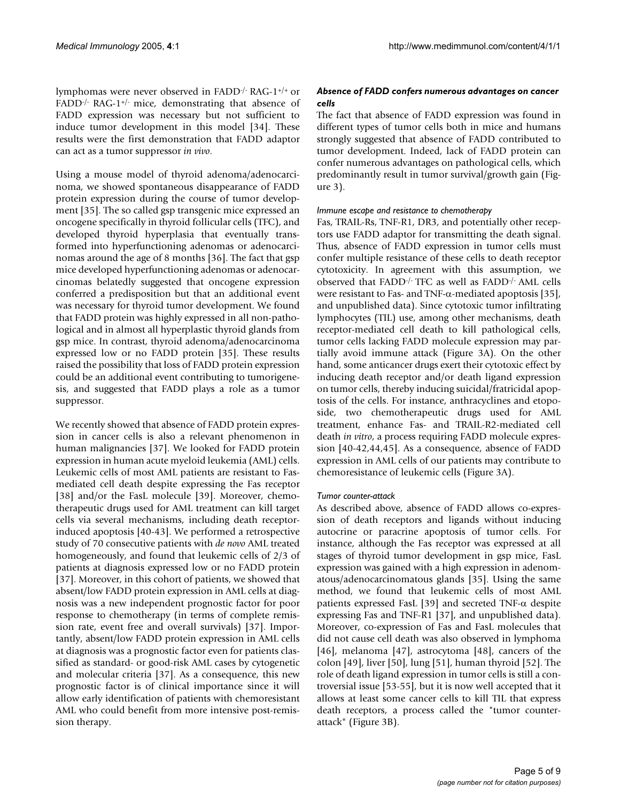lymphomas were never observed in FADD-/- RAG-1+/+ or FADD $\cdot$ / $\cdot$  RAG-1 $\cdot$ / $\cdot$  mice, demonstrating that absence of FADD expression was necessary but not sufficient to induce tumor development in this model [34]. These results were the first demonstration that FADD adaptor can act as a tumor suppressor *in vivo*.

Using a mouse model of thyroid adenoma/adenocarcinoma, we showed spontaneous disappearance of FADD protein expression during the course of tumor development [35]. The so called gsp transgenic mice expressed an oncogene specifically in thyroid follicular cells (TFC), and developed thyroid hyperplasia that eventually transformed into hyperfunctioning adenomas or adenocarcinomas around the age of 8 months [36]. The fact that gsp mice developed hyperfunctioning adenomas or adenocarcinomas belatedly suggested that oncogene expression conferred a predisposition but that an additional event was necessary for thyroid tumor development. We found that FADD protein was highly expressed in all non-pathological and in almost all hyperplastic thyroid glands from gsp mice. In contrast, thyroid adenoma/adenocarcinoma expressed low or no FADD protein [35]. These results raised the possibility that loss of FADD protein expression could be an additional event contributing to tumorigenesis, and suggested that FADD plays a role as a tumor suppressor.

We recently showed that absence of FADD protein expression in cancer cells is also a relevant phenomenon in human malignancies [37]. We looked for FADD protein expression in human acute myeloid leukemia (AML) cells. Leukemic cells of most AML patients are resistant to Fasmediated cell death despite expressing the Fas receptor [38] and/or the FasL molecule [39]. Moreover, chemotherapeutic drugs used for AML treatment can kill target cells via several mechanisms, including death receptorinduced apoptosis [40-43]. We performed a retrospective study of 70 consecutive patients with *de novo* AML treated homogeneously, and found that leukemic cells of 2/3 of patients at diagnosis expressed low or no FADD protein [37]. Moreover, in this cohort of patients, we showed that absent/low FADD protein expression in AML cells at diagnosis was a new independent prognostic factor for poor response to chemotherapy (in terms of complete remission rate, event free and overall survivals) [37]. Importantly, absent/low FADD protein expression in AML cells at diagnosis was a prognostic factor even for patients classified as standard- or good-risk AML cases by cytogenetic and molecular criteria [37]. As a consequence, this new prognostic factor is of clinical importance since it will allow early identification of patients with chemoresistant AML who could benefit from more intensive post-remission therapy.

### *Absence of FADD confers numerous advantages on cancer cells*

The fact that absence of FADD expression was found in different types of tumor cells both in mice and humans strongly suggested that absence of FADD contributed to tumor development. Indeed, lack of FADD protein can confer numerous advantages on pathological cells, which predominantly result in tumor survival/growth gain (Figure [3\)](#page-6-0).

#### *Immune escape and resistance to chemotherapy*

Fas, TRAIL-Rs, TNF-R1, DR3, and potentially other receptors use FADD adaptor for transmitting the death signal. Thus, absence of FADD expression in tumor cells must confer multiple resistance of these cells to death receptor cytotoxicity. In agreement with this assumption, we observed that FADD-/- TFC as well as FADD-/- AML cells were resistant to Fas- and TNF-α-mediated apoptosis [35], and unpublished data). Since cytotoxic tumor infiltrating lymphocytes (TIL) use, among other mechanisms, death receptor-mediated cell death to kill pathological cells, tumor cells lacking FADD molecule expression may partially avoid immune attack (Figure [3A](#page-6-0)). On the other hand, some anticancer drugs exert their cytotoxic effect by inducing death receptor and/or death ligand expression on tumor cells, thereby inducing suicidal/fratricidal apoptosis of the cells. For instance, anthracyclines and etoposide, two chemotherapeutic drugs used for AML treatment, enhance Fas- and TRAIL-R2-mediated cell death *in vitro*, a process requiring FADD molecule expression [40-42,44,45]. As a consequence, absence of FADD expression in AML cells of our patients may contribute to chemoresistance of leukemic cells (Figure [3](#page-6-0)A).

#### *Tumor counter-attack*

As described above, absence of FADD allows co-expression of death receptors and ligands without inducing autocrine or paracrine apoptosis of tumor cells. For instance, although the Fas receptor was expressed at all stages of thyroid tumor development in gsp mice, FasL expression was gained with a high expression in adenomatous/adenocarcinomatous glands [35]. Using the same method, we found that leukemic cells of most AML patients expressed FasL [39] and secreted TNF-α despite expressing Fas and TNF-R1 [37], and unpublished data). Moreover, co-expression of Fas and FasL molecules that did not cause cell death was also observed in lymphoma [46], melanoma [47], astrocytoma [48], cancers of the colon [49], liver [50], lung [51], human thyroid [52]. The role of death ligand expression in tumor cells is still a controversial issue [53-55], but it is now well accepted that it allows at least some cancer cells to kill TIL that express death receptors, a process called the "tumor counterattack" (Figure [3B](#page-6-0)).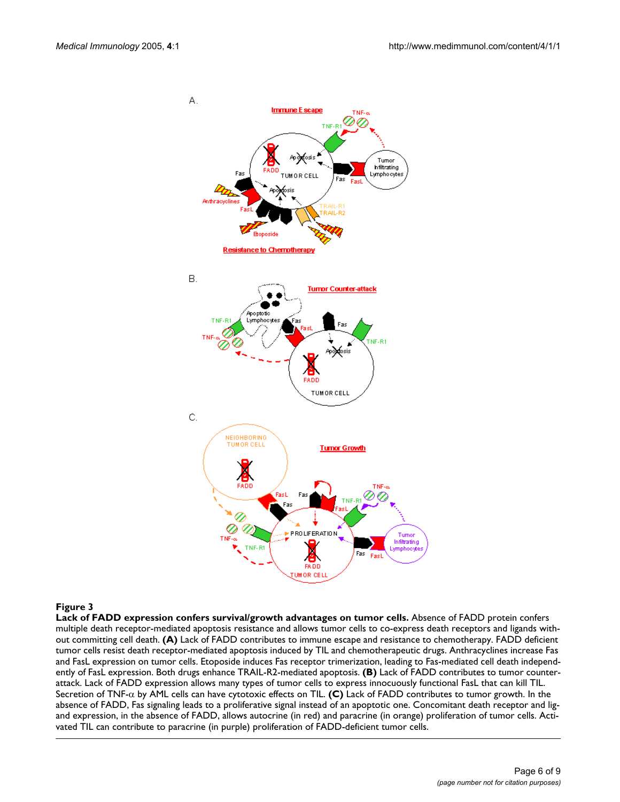<span id="page-6-0"></span>

#### Figure 3

**Lack of FADD expression confers survival/growth advantages on tumor cells.** Absence of FADD protein confers multiple death receptor-mediated apoptosis resistance and allows tumor cells to co-express death receptors and ligands without committing cell death. **(A)** Lack of FADD contributes to immune escape and resistance to chemotherapy. FADD deficient tumor cells resist death receptor-mediated apoptosis induced by TIL and chemotherapeutic drugs. Anthracyclines increase Fas and FasL expression on tumor cells. Etoposide induces Fas receptor trimerization, leading to Fas-mediated cell death independently of FasL expression. Both drugs enhance TRAIL-R2-mediated apoptosis. **(B)** Lack of FADD contributes to tumor counterattack. Lack of FADD expression allows many types of tumor cells to express innocuously functional FasL that can kill TIL. Secretion of TNF-α by AML cells can have cytotoxic effects on TIL. **(C)** Lack of FADD contributes to tumor growth. In the absence of FADD, Fas signaling leads to a proliferative signal instead of an apoptotic one. Concomitant death receptor and ligand expression, in the absence of FADD, allows autocrine (in red) and paracrine (in orange) proliferation of tumor cells. Activated TIL can contribute to paracrine (in purple) proliferation of FADD-deficient tumor cells.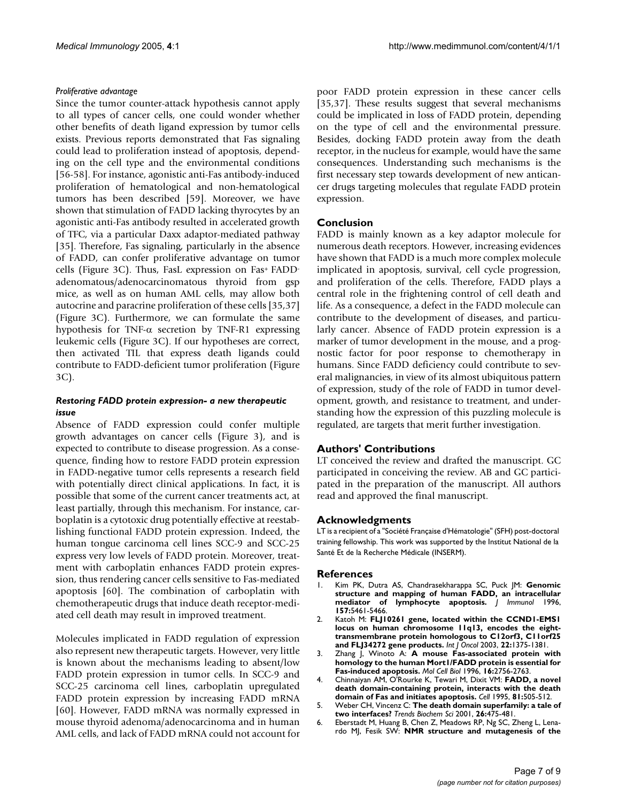#### *Proliferative advantage*

Since the tumor counter-attack hypothesis cannot apply to all types of cancer cells, one could wonder whether other benefits of death ligand expression by tumor cells exists. Previous reports demonstrated that Fas signaling could lead to proliferation instead of apoptosis, depending on the cell type and the environmental conditions [56-58]. For instance, agonistic anti-Fas antibody-induced proliferation of hematological and non-hematological tumors has been described [59]. Moreover, we have shown that stimulation of FADD lacking thyrocytes by an agonistic anti-Fas antibody resulted in accelerated growth of TFC, via a particular Daxx adaptor-mediated pathway [35]. Therefore, Fas signaling, particularly in the absence of FADD, can confer proliferative advantage on tumor cells (Figure [3C](#page-6-0)). Thus, FasL expression on Fas+ FADDadenomatous/adenocarcinomatous thyroid from gsp mice, as well as on human AML cells, may allow both autocrine and paracrine proliferation of these cells [35,37] (Figure [3](#page-6-0)C). Furthermore, we can formulate the same hypothesis for TNF-α secretion by TNF-R1 expressing leukemic cells (Figure [3](#page-6-0)C). If our hypotheses are correct, then activated TIL that express death ligands could contribute to FADD-deficient tumor proliferation (Figure [3C](#page-6-0)).

#### *Restoring FADD protein expression- a new therapeutic issue*

Absence of FADD expression could confer multiple growth advantages on cancer cells (Figure [3\)](#page-6-0), and is expected to contribute to disease progression. As a consequence, finding how to restore FADD protein expression in FADD-negative tumor cells represents a research field with potentially direct clinical applications. In fact, it is possible that some of the current cancer treatments act, at least partially, through this mechanism. For instance, carboplatin is a cytotoxic drug potentially effective at reestablishing functional FADD protein expression. Indeed, the human tongue carcinoma cell lines SCC-9 and SCC-25 express very low levels of FADD protein. Moreover, treatment with carboplatin enhances FADD protein expression, thus rendering cancer cells sensitive to Fas-mediated apoptosis [60]. The combination of carboplatin with chemotherapeutic drugs that induce death receptor-mediated cell death may result in improved treatment.

Molecules implicated in FADD regulation of expression also represent new therapeutic targets. However, very little is known about the mechanisms leading to absent/low FADD protein expression in tumor cells. In SCC-9 and SCC-25 carcinoma cell lines, carboplatin upregulated FADD protein expression by increasing FADD mRNA [60]. However, FADD mRNA was normally expressed in mouse thyroid adenoma/adenocarcinoma and in human AML cells, and lack of FADD mRNA could not account for poor FADD protein expression in these cancer cells [35,37]. These results suggest that several mechanisms could be implicated in loss of FADD protein, depending on the type of cell and the environmental pressure. Besides, docking FADD protein away from the death receptor, in the nucleus for example, would have the same consequences. Understanding such mechanisms is the first necessary step towards development of new anticancer drugs targeting molecules that regulate FADD protein expression.

#### **Conclusion**

FADD is mainly known as a key adaptor molecule for numerous death receptors. However, increasing evidences have shown that FADD is a much more complex molecule implicated in apoptosis, survival, cell cycle progression, and proliferation of the cells. Therefore, FADD plays a central role in the frightening control of cell death and life. As a consequence, a defect in the FADD molecule can contribute to the development of diseases, and particularly cancer. Absence of FADD protein expression is a marker of tumor development in the mouse, and a prognostic factor for poor response to chemotherapy in humans. Since FADD deficiency could contribute to several malignancies, in view of its almost ubiquitous pattern of expression, study of the role of FADD in tumor development, growth, and resistance to treatment, and understanding how the expression of this puzzling molecule is regulated, are targets that merit further investigation.

### **Authors' Contributions**

LT conceived the review and drafted the manuscript. GC participated in conceiving the review. AB and GC participated in the preparation of the manuscript. All authors read and approved the final manuscript.

#### **Acknowledgments**

LT is a recipient of a "Société Française d'Hématologie" (SFH) post-doctoral training fellowship. This work was supported by the Institut National de la Santé Et de la Recherche Médicale (INSERM).

#### **References**

- 1. Kim PK, Dutra AS, Chandrasekharappa SC, Puck JM: **[Genomic](http://www.ncbi.nlm.nih.gov/entrez/query.fcgi?cmd=Retrieve&db=PubMed&dopt=Abstract&list_uids=8955195) [structure and mapping of human FADD, an intracellular](http://www.ncbi.nlm.nih.gov/entrez/query.fcgi?cmd=Retrieve&db=PubMed&dopt=Abstract&list_uids=8955195) [mediator of lymphocyte apoptosis.](http://www.ncbi.nlm.nih.gov/entrez/query.fcgi?cmd=Retrieve&db=PubMed&dopt=Abstract&list_uids=8955195)** *J Immunol* 1996, **157:**5461-5466.
- 2. Katoh M: **[FLJ10261 gene, located within the CCND1-EMS1](http://www.ncbi.nlm.nih.gov/entrez/query.fcgi?cmd=Retrieve&db=PubMed&dopt=Abstract&list_uids=12739008) locus on human chromosome 11q13, encodes the eight[transmembrane protein homologous to C12orf3, C11orf25](http://www.ncbi.nlm.nih.gov/entrez/query.fcgi?cmd=Retrieve&db=PubMed&dopt=Abstract&list_uids=12739008) [and FLJ34272 gene products.](http://www.ncbi.nlm.nih.gov/entrez/query.fcgi?cmd=Retrieve&db=PubMed&dopt=Abstract&list_uids=12739008)** *Int J Oncol* 2003, **22:**1375-1381.
- 3. Zhang J, Winoto A: **[A mouse Fas-associated protein with](http://www.ncbi.nlm.nih.gov/entrez/query.fcgi?cmd=Retrieve&db=PubMed&dopt=Abstract&list_uids=8649383) [homology to the human Mort1/FADD protein is essential for](http://www.ncbi.nlm.nih.gov/entrez/query.fcgi?cmd=Retrieve&db=PubMed&dopt=Abstract&list_uids=8649383) [Fas-induced apoptosis.](http://www.ncbi.nlm.nih.gov/entrez/query.fcgi?cmd=Retrieve&db=PubMed&dopt=Abstract&list_uids=8649383)** *Mol Cell Biol* 1996, **16:**2756-2763.
- 4. Chinnaiyan AM, O'Rourke K, Tewari M, Dixit VM: **[FADD, a novel](http://www.ncbi.nlm.nih.gov/entrez/query.fcgi?cmd=Retrieve&db=PubMed&dopt=Abstract&list_uids=7538907) [death domain-containing protein, interacts with the death](http://www.ncbi.nlm.nih.gov/entrez/query.fcgi?cmd=Retrieve&db=PubMed&dopt=Abstract&list_uids=7538907) [domain of Fas and initiates apoptosis.](http://www.ncbi.nlm.nih.gov/entrez/query.fcgi?cmd=Retrieve&db=PubMed&dopt=Abstract&list_uids=7538907)** *Cell* 1995, **81:**505-512.
- 5. Weber CH, Vincenz C: **[The death domain superfamily: a tale of](http://www.ncbi.nlm.nih.gov/entrez/query.fcgi?cmd=Retrieve&db=PubMed&dopt=Abstract&list_uids=11504623) [two interfaces?](http://www.ncbi.nlm.nih.gov/entrez/query.fcgi?cmd=Retrieve&db=PubMed&dopt=Abstract&list_uids=11504623)** *Trends Biochem Sci* 2001, **26:**475-481.
- 6. Eberstadt M, Huang B, Chen Z, Meadows RP, Ng SC, Zheng L, Lenardo MJ, Fesik SW: **[NMR structure and mutagenesis of the](http://www.ncbi.nlm.nih.gov/entrez/query.fcgi?cmd=Retrieve&db=PubMed&dopt=Abstract&list_uids=9582077)**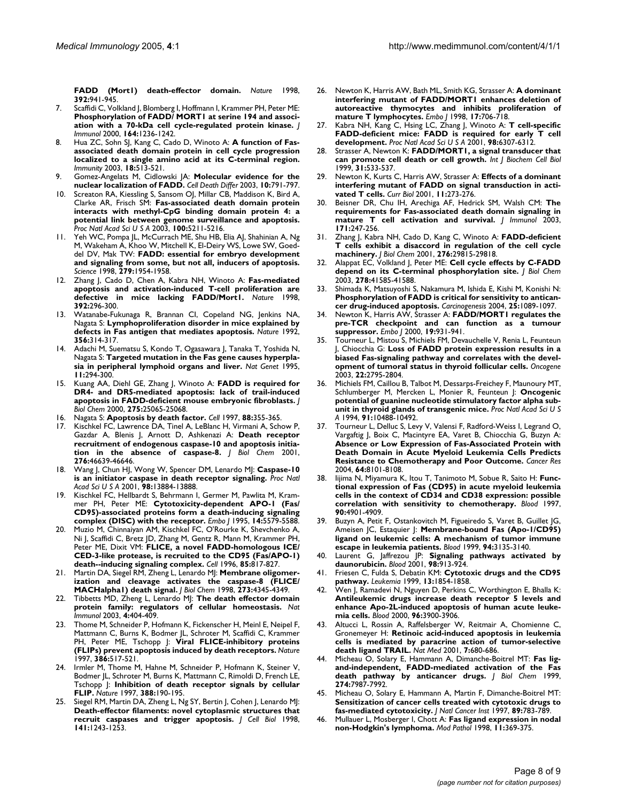**[FADD \(Mort1\) death-effector domain.](http://www.ncbi.nlm.nih.gov/entrez/query.fcgi?cmd=Retrieve&db=PubMed&dopt=Abstract&list_uids=9582077)** *Nature* 1998, **392:**941-945.

- 7. Scaffidi C, Volkland J, Blomberg I, Hoffmann I, Krammer PH, Peter ME: **[Phosphorylation of FADD/ MORT1 at serine 194 and associ](http://www.ncbi.nlm.nih.gov/entrez/query.fcgi?cmd=Retrieve&db=PubMed&dopt=Abstract&list_uids=10640736)[ation with a 70-kDa cell cycle-regulated protein kinase.](http://www.ncbi.nlm.nih.gov/entrez/query.fcgi?cmd=Retrieve&db=PubMed&dopt=Abstract&list_uids=10640736)** *J Immunol* 2000, **164:**1236-1242.
- 8. Hua ZC, Sohn SJ, Kang C, Cado D, Winoto A: **[A function of Fas](http://www.ncbi.nlm.nih.gov/entrez/query.fcgi?cmd=Retrieve&db=PubMed&dopt=Abstract&list_uids=12705854)[associated death domain protein in cell cycle progression](http://www.ncbi.nlm.nih.gov/entrez/query.fcgi?cmd=Retrieve&db=PubMed&dopt=Abstract&list_uids=12705854) localized to a single amino acid at its C-terminal region.** *Immunity* 2003, **18:**513-521.
- 9. Gomez-Angelats M, Cidlowski JA: **[Molecular evidence for the](http://www.ncbi.nlm.nih.gov/entrez/query.fcgi?cmd=Retrieve&db=PubMed&dopt=Abstract&list_uids=12815462) [nuclear localization of FADD.](http://www.ncbi.nlm.nih.gov/entrez/query.fcgi?cmd=Retrieve&db=PubMed&dopt=Abstract&list_uids=12815462)** *Cell Death Differ* 2003, **10:**791-797.
- 10. Screaton RA, Kiessling S, Sansom OJ, Millar CB, Maddison K, Bird A, Clarke AR, Frisch SM: **[Fas-associated death domain protein](http://www.ncbi.nlm.nih.gov/entrez/query.fcgi?cmd=Retrieve&db=PubMed&dopt=Abstract&list_uids=12702765) interacts with methyl-CpG binding domain protein 4: a [potential link between genome surveillance and apoptosis.](http://www.ncbi.nlm.nih.gov/entrez/query.fcgi?cmd=Retrieve&db=PubMed&dopt=Abstract&list_uids=12702765)** *Proc Natl Acad Sci U S A* 2003, **100:**5211-5216.
- 11. Yeh WC, Pompa JL, McCurrach ME, Shu HB, Elia AJ, Shahinian A, Ng M, Wakeham A, Khoo W, Mitchell K, El-Deiry WS, Lowe SW, Goeddel DV, Mak TW: **[FADD: essential for embryo development](http://www.ncbi.nlm.nih.gov/entrez/query.fcgi?cmd=Retrieve&db=PubMed&dopt=Abstract&list_uids=9506948) [and signaling from some, but not all, inducers of apoptosis.](http://www.ncbi.nlm.nih.gov/entrez/query.fcgi?cmd=Retrieve&db=PubMed&dopt=Abstract&list_uids=9506948)** *Science* 1998, **279:**1954-1958.
- 12. Zhang J, Cado D, Chen A, Kabra NH, Winoto A: **[Fas-mediated](http://www.ncbi.nlm.nih.gov/entrez/query.fcgi?cmd=Retrieve&db=PubMed&dopt=Abstract&list_uids=9521326) [apoptosis and activation-induced T-cell proliferation are](http://www.ncbi.nlm.nih.gov/entrez/query.fcgi?cmd=Retrieve&db=PubMed&dopt=Abstract&list_uids=9521326) [defective in mice lacking FADD/Mort1.](http://www.ncbi.nlm.nih.gov/entrez/query.fcgi?cmd=Retrieve&db=PubMed&dopt=Abstract&list_uids=9521326)** *Nature* 1998, **392:**296-300.
- 13. Watanabe-Fukunaga R, Brannan CI, Copeland NG, Jenkins NA, Nagata S: **[Lymphoproliferation disorder in mice explained by](http://www.ncbi.nlm.nih.gov/entrez/query.fcgi?cmd=Retrieve&db=PubMed&dopt=Abstract&list_uids=1372394) [defects in Fas antigen that mediates apoptosis.](http://www.ncbi.nlm.nih.gov/entrez/query.fcgi?cmd=Retrieve&db=PubMed&dopt=Abstract&list_uids=1372394)** *Nature* 1992, **356:**314-317.
- 14. Adachi M, Suematsu S, Kondo T, Ogasawara J, Tanaka T, Yoshida N, Nagata S: **[Targeted mutation in the Fas gene causes hyperpla](http://www.ncbi.nlm.nih.gov/entrez/query.fcgi?cmd=Retrieve&db=PubMed&dopt=Abstract&list_uids=7581453)[sia in peripheral lymphoid organs and liver.](http://www.ncbi.nlm.nih.gov/entrez/query.fcgi?cmd=Retrieve&db=PubMed&dopt=Abstract&list_uids=7581453)** *Nat Genet* 1995, **11:**294-300.
- 15. Kuang AA, Diehl GE, Zhang J, Winoto A: **[FADD is required for](http://www.ncbi.nlm.nih.gov/entrez/query.fcgi?cmd=Retrieve&db=PubMed&dopt=Abstract&list_uids=10862756) [DR4- and DR5-mediated apoptosis: lack of trail-induced](http://www.ncbi.nlm.nih.gov/entrez/query.fcgi?cmd=Retrieve&db=PubMed&dopt=Abstract&list_uids=10862756) [apoptosis in FADD-deficient mouse embryonic fibroblasts.](http://www.ncbi.nlm.nih.gov/entrez/query.fcgi?cmd=Retrieve&db=PubMed&dopt=Abstract&list_uids=10862756)** *J Biol Chem* 2000, **275:**25065-25068.
- 16. Nagata S: **[Apoptosis by death factor.](http://www.ncbi.nlm.nih.gov/entrez/query.fcgi?cmd=Retrieve&db=PubMed&dopt=Abstract&list_uids=9039262)** *Cell* 1997, **88:**355-365.
- Kischkel FC, Lawrence DA, Tinel A, LeBlanc H, Virmani A, Schow P, Gazdar A, Blenis J, Arnott D, Ashkenazi A: **[Death receptor](http://www.ncbi.nlm.nih.gov/entrez/query.fcgi?cmd=Retrieve&db=PubMed&dopt=Abstract&list_uids=11583996) [recruitment of endogenous caspase-10 and apoptosis initia](http://www.ncbi.nlm.nih.gov/entrez/query.fcgi?cmd=Retrieve&db=PubMed&dopt=Abstract&list_uids=11583996)[tion in the absence of caspase-8.](http://www.ncbi.nlm.nih.gov/entrez/query.fcgi?cmd=Retrieve&db=PubMed&dopt=Abstract&list_uids=11583996)** *J Biol Chem* 2001, **276:**46639-46646.
- 18. Wang J, Chun HJ, Wong W, Spencer DM, Lenardo MJ: **[Caspase-10](http://www.ncbi.nlm.nih.gov/entrez/query.fcgi?cmd=Retrieve&db=PubMed&dopt=Abstract&list_uids=11717445) [is an initiator caspase in death receptor signaling.](http://www.ncbi.nlm.nih.gov/entrez/query.fcgi?cmd=Retrieve&db=PubMed&dopt=Abstract&list_uids=11717445)** *Proc Natl Acad Sci U S A* 2001, **98:**13884-13888.
- 19. Kischkel FC, Hellbardt S, Behrmann I, Germer M, Pawlita M, Krammer PH, Peter ME: **[Cytotoxicity-dependent APO-1 \(Fas/](http://www.ncbi.nlm.nih.gov/entrez/query.fcgi?cmd=Retrieve&db=PubMed&dopt=Abstract&list_uids=8521815) [CD95\)-associated proteins form a death-inducing signaling](http://www.ncbi.nlm.nih.gov/entrez/query.fcgi?cmd=Retrieve&db=PubMed&dopt=Abstract&list_uids=8521815) [complex \(DISC\) with the receptor.](http://www.ncbi.nlm.nih.gov/entrez/query.fcgi?cmd=Retrieve&db=PubMed&dopt=Abstract&list_uids=8521815)** *Embo J* 1995, **14:**5579-5588.
- 20. Muzio M, Chinnaiyan AM, Kischkel FC, O'Rourke K, Shevchenko A, Ni J, Scaffidi C, Bretz JD, Zhang M, Gentz R, Mann M, Krammer PH, Peter ME, Dixit VM: **[FLICE, a novel FADD-homologous ICE/](http://www.ncbi.nlm.nih.gov/entrez/query.fcgi?cmd=Retrieve&db=PubMed&dopt=Abstract&list_uids=8681377) [CED-3-like protease, is recruited to the CD95 \(Fas/APO-1\)](http://www.ncbi.nlm.nih.gov/entrez/query.fcgi?cmd=Retrieve&db=PubMed&dopt=Abstract&list_uids=8681377) [death--inducing signaling complex.](http://www.ncbi.nlm.nih.gov/entrez/query.fcgi?cmd=Retrieve&db=PubMed&dopt=Abstract&list_uids=8681377)** *Cell* 1996, **85:**817-827.
- 21. Martin DA, Siegel RM, Zheng L, Lenardo MJ: **[Membrane oligomer](http://www.ncbi.nlm.nih.gov/entrez/query.fcgi?cmd=Retrieve&db=PubMed&dopt=Abstract&list_uids=9468483)[ization and cleavage activates the caspase-8 \(FLICE/](http://www.ncbi.nlm.nih.gov/entrez/query.fcgi?cmd=Retrieve&db=PubMed&dopt=Abstract&list_uids=9468483) [MACHalpha1\) death signal.](http://www.ncbi.nlm.nih.gov/entrez/query.fcgi?cmd=Retrieve&db=PubMed&dopt=Abstract&list_uids=9468483)** *J Biol Chem* 1998, **273:**4345-4349.
- 22. Tibbetts MD, Zheng L, Lenardo MJ: **[The death effector domain](http://www.ncbi.nlm.nih.gov/entrez/query.fcgi?cmd=Retrieve&db=PubMed&dopt=Abstract&list_uids=12719729) [protein family: regulators of cellular homeostasis.](http://www.ncbi.nlm.nih.gov/entrez/query.fcgi?cmd=Retrieve&db=PubMed&dopt=Abstract&list_uids=12719729)** *Nat Immunol* 2003, **4:**404-409.
- 23. Thome M, Schneider P, Hofmann K, Fickenscher H, Meinl E, Neipel F, Mattmann C, Burns K, Bodmer JL, Schroter M, Scaffidi C, Krammer PH, Peter ME, Tschopp J: **[Viral FLICE-inhibitory proteins](http://www.ncbi.nlm.nih.gov/entrez/query.fcgi?cmd=Retrieve&db=PubMed&dopt=Abstract&list_uids=9087414) [\(FLIPs\) prevent apoptosis induced by death receptors.](http://www.ncbi.nlm.nih.gov/entrez/query.fcgi?cmd=Retrieve&db=PubMed&dopt=Abstract&list_uids=9087414)** *Nature* 1997, **386:**517-521.
- 24. Irmler M, Thome M, Hahne M, Schneider P, Hofmann K, Steiner V, Bodmer JL, Schroter M, Burns K, Mattmann C, Rimoldi D, French LE, Tschopp J: **[Inhibition of death receptor signals by cellular](http://www.ncbi.nlm.nih.gov/entrez/query.fcgi?cmd=Retrieve&db=PubMed&dopt=Abstract&list_uids=9217161) [FLIP.](http://www.ncbi.nlm.nih.gov/entrez/query.fcgi?cmd=Retrieve&db=PubMed&dopt=Abstract&list_uids=9217161)** *Nature* 1997, **388:**190-195.
- 25. Siegel RM, Martin DA, Zheng L, Ng SY, Bertin J, Cohen J, Lenardo MJ: **[Death-effector filaments: novel cytoplasmic structures that](http://www.ncbi.nlm.nih.gov/entrez/query.fcgi?cmd=Retrieve&db=PubMed&dopt=Abstract&list_uids=9606215) [recruit caspases and trigger apoptosis.](http://www.ncbi.nlm.nih.gov/entrez/query.fcgi?cmd=Retrieve&db=PubMed&dopt=Abstract&list_uids=9606215)** *J Cell Biol* 1998, **141:**1243-1253.
- 26. Newton K, Harris AW, Bath ML, Smith KG, Strasser A: **[A dominant](http://www.ncbi.nlm.nih.gov/entrez/query.fcgi?cmd=Retrieve&db=PubMed&dopt=Abstract&list_uids=9450996) interfering mutant of FADD/MORT1 enhances deletion of [autoreactive thymocytes and inhibits proliferation of](http://www.ncbi.nlm.nih.gov/entrez/query.fcgi?cmd=Retrieve&db=PubMed&dopt=Abstract&list_uids=9450996) [mature T lymphocytes.](http://www.ncbi.nlm.nih.gov/entrez/query.fcgi?cmd=Retrieve&db=PubMed&dopt=Abstract&list_uids=9450996)** *Embo J* 1998, **17:**706-718.
- 27. Kabra NH, Kang C, Hsing LC, Zhang J, Winoto A: **[T cell-specific](http://www.ncbi.nlm.nih.gov/entrez/query.fcgi?cmd=Retrieve&db=PubMed&dopt=Abstract&list_uids=11353862) [FADD-deficient mice: FADD is required for early T cell](http://www.ncbi.nlm.nih.gov/entrez/query.fcgi?cmd=Retrieve&db=PubMed&dopt=Abstract&list_uids=11353862) [development.](http://www.ncbi.nlm.nih.gov/entrez/query.fcgi?cmd=Retrieve&db=PubMed&dopt=Abstract&list_uids=11353862)** *Proc Natl Acad Sci U S A* 2001, **98:**6307-6312.
- 28. Strasser A, Newton K: **[FADD/MORT1, a signal transducer that](http://www.ncbi.nlm.nih.gov/entrez/query.fcgi?cmd=Retrieve&db=PubMed&dopt=Abstract&list_uids=10399313) [can promote cell death or cell growth.](http://www.ncbi.nlm.nih.gov/entrez/query.fcgi?cmd=Retrieve&db=PubMed&dopt=Abstract&list_uids=10399313)** *Int J Biochem Cell Biol* 1999, **31:**533-537.
- 29. Newton K, Kurts C, Harris AW, Strasser A: **[Effects of a dominant](http://www.ncbi.nlm.nih.gov/entrez/query.fcgi?cmd=Retrieve&db=PubMed&dopt=Abstract&list_uids=11250157) [interfering mutant of FADD on signal transduction in acti](http://www.ncbi.nlm.nih.gov/entrez/query.fcgi?cmd=Retrieve&db=PubMed&dopt=Abstract&list_uids=11250157)[vated T cells.](http://www.ncbi.nlm.nih.gov/entrez/query.fcgi?cmd=Retrieve&db=PubMed&dopt=Abstract&list_uids=11250157)** *Curr Biol* 2001, **11:**273-276.
- 30. Beisner DR, Chu IH, Arechiga AF, Hedrick SM, Walsh CM: **[The](http://www.ncbi.nlm.nih.gov/entrez/query.fcgi?cmd=Retrieve&db=PubMed&dopt=Abstract&list_uids=12817005) [requirements for Fas-associated death domain signaling in](http://www.ncbi.nlm.nih.gov/entrez/query.fcgi?cmd=Retrieve&db=PubMed&dopt=Abstract&list_uids=12817005) [mature T cell activation and survival.](http://www.ncbi.nlm.nih.gov/entrez/query.fcgi?cmd=Retrieve&db=PubMed&dopt=Abstract&list_uids=12817005)** *J Immunol* 2003, **171:**247-256.
- 31. Zhang J, Kabra NH, Cado D, Kang C, Winoto A: **[FADD-deficient](http://www.ncbi.nlm.nih.gov/entrez/query.fcgi?cmd=Retrieve&db=PubMed&dopt=Abstract&list_uids=11390402) [T cells exhibit a disaccord in regulation of the cell cycle](http://www.ncbi.nlm.nih.gov/entrez/query.fcgi?cmd=Retrieve&db=PubMed&dopt=Abstract&list_uids=11390402) [machinery.](http://www.ncbi.nlm.nih.gov/entrez/query.fcgi?cmd=Retrieve&db=PubMed&dopt=Abstract&list_uids=11390402)** *J Biol Chem* 2001, **276:**29815-29818.
- 32. Alappat EC, Volkland J, Peter ME: **[Cell cycle effects by C-FADD](http://www.ncbi.nlm.nih.gov/entrez/query.fcgi?cmd=Retrieve&db=PubMed&dopt=Abstract&list_uids=12954630) [depend on its C-terminal phosphorylation site.](http://www.ncbi.nlm.nih.gov/entrez/query.fcgi?cmd=Retrieve&db=PubMed&dopt=Abstract&list_uids=12954630)** *J Biol Chem* 2003, **278:**41585-41588.
- 33. Shimada K, Matsuyoshi S, Nakamura M, Ishida E, Kishi M, Konishi N: **[Phosphorylation of FADD is critical for sensitivity to antican](http://www.ncbi.nlm.nih.gov/entrez/query.fcgi?cmd=Retrieve&db=PubMed&dopt=Abstract&list_uids=15001534)[cer drug-induced apoptosis.](http://www.ncbi.nlm.nih.gov/entrez/query.fcgi?cmd=Retrieve&db=PubMed&dopt=Abstract&list_uids=15001534)** *Carcinogenesis* 2004, **25:**1089-1097.
- 34. Newton K, Harris AW, Strasser A: **[FADD/MORT1 regulates the](http://www.ncbi.nlm.nih.gov/entrez/query.fcgi?cmd=Retrieve&db=PubMed&dopt=Abstract&list_uids=10698935) [pre-TCR checkpoint and can function as a tumour](http://www.ncbi.nlm.nih.gov/entrez/query.fcgi?cmd=Retrieve&db=PubMed&dopt=Abstract&list_uids=10698935) [suppressor.](http://www.ncbi.nlm.nih.gov/entrez/query.fcgi?cmd=Retrieve&db=PubMed&dopt=Abstract&list_uids=10698935)** *Embo J* 2000, **19:**931-941.
- 35. Tourneur L, Mistou S, Michiels FM, Devauchelle V, Renia L, Feunteun J, Chiocchia G: **[Loss of FADD protein expression results in a](http://www.ncbi.nlm.nih.gov/entrez/query.fcgi?cmd=Retrieve&db=PubMed&dopt=Abstract&list_uids=12743602) [biased Fas-signaling pathway and correlates with the devel](http://www.ncbi.nlm.nih.gov/entrez/query.fcgi?cmd=Retrieve&db=PubMed&dopt=Abstract&list_uids=12743602)[opment of tumoral status in thyroid follicular cells.](http://www.ncbi.nlm.nih.gov/entrez/query.fcgi?cmd=Retrieve&db=PubMed&dopt=Abstract&list_uids=12743602)** *Oncogene* 2003, **22:**2795-2804.
- Michiels FM, Caillou B, Talbot M, Dessarps-Freichey F, Maunoury MT, Schlumberger M, Mercken L, Monier R, Feunteun J: **[Oncogenic](http://www.ncbi.nlm.nih.gov/entrez/query.fcgi?cmd=Retrieve&db=PubMed&dopt=Abstract&list_uids=7937980) [potential of guanine nucleotide stimulatory factor alpha sub](http://www.ncbi.nlm.nih.gov/entrez/query.fcgi?cmd=Retrieve&db=PubMed&dopt=Abstract&list_uids=7937980)[unit in thyroid glands of transgenic mice.](http://www.ncbi.nlm.nih.gov/entrez/query.fcgi?cmd=Retrieve&db=PubMed&dopt=Abstract&list_uids=7937980)** *Proc Natl Acad Sci U S A* 1994, **91:**10488-10492.
- 37. Tourneur L, Delluc S, Levy V, Valensi F, Radford-Weiss I, Legrand O, Vargaftig J, Boix C, Macintyre EA, Varet B, Chiocchia G, Buzyn A: **Absence or Low Expression of Fas-Associated Protein with [Death Domain in Acute Myeloid Leukemia Cells Predicts](http://www.ncbi.nlm.nih.gov/entrez/query.fcgi?cmd=Retrieve&db=PubMed&dopt=Abstract&list_uids=15520222) [Resistance to Chemotherapy and Poor Outcome.](http://www.ncbi.nlm.nih.gov/entrez/query.fcgi?cmd=Retrieve&db=PubMed&dopt=Abstract&list_uids=15520222)** *Cancer Res* 2004, **64:**8101-8108.
- lijima N, Miyamura K, Itou T, Tanimoto M, Sobue R, Saito H: [Func](http://www.ncbi.nlm.nih.gov/entrez/query.fcgi?cmd=Retrieve&db=PubMed&dopt=Abstract&list_uids=9389707)**[tional expression of Fas \(CD95\) in acute myeloid leukemia](http://www.ncbi.nlm.nih.gov/entrez/query.fcgi?cmd=Retrieve&db=PubMed&dopt=Abstract&list_uids=9389707) cells in the context of CD34 and CD38 expression: possible [correlation with sensitivity to chemotherapy.](http://www.ncbi.nlm.nih.gov/entrez/query.fcgi?cmd=Retrieve&db=PubMed&dopt=Abstract&list_uids=9389707)** *Blood* 1997, **90:**4901-4909.
- Buzyn A, Petit F, Ostankovitch M, Figueiredo S, Varet B, Guillet JG, Ameisen JC, Estaquier J: **[Membrane-bound Fas \(Apo-1/CD95\)](http://www.ncbi.nlm.nih.gov/entrez/query.fcgi?cmd=Retrieve&db=PubMed&dopt=Abstract&list_uids=10556200) [ligand on leukemic cells: A mechanism of tumor immune](http://www.ncbi.nlm.nih.gov/entrez/query.fcgi?cmd=Retrieve&db=PubMed&dopt=Abstract&list_uids=10556200) [escape in leukemia patients.](http://www.ncbi.nlm.nih.gov/entrez/query.fcgi?cmd=Retrieve&db=PubMed&dopt=Abstract&list_uids=10556200)** *Blood* 1999, **94:**3135-3140.
- 40. Laurent G, Jaffrezou JP: **[Signaling pathways activated by](http://www.ncbi.nlm.nih.gov/entrez/query.fcgi?cmd=Retrieve&db=PubMed&dopt=Abstract&list_uids=11493433) [daunorubicin.](http://www.ncbi.nlm.nih.gov/entrez/query.fcgi?cmd=Retrieve&db=PubMed&dopt=Abstract&list_uids=11493433)** *Blood* 2001, **98:**913-924.
- 41. Friesen C, Fulda S, Debatin KM: **[Cytotoxic drugs and the CD95](http://www.ncbi.nlm.nih.gov/entrez/query.fcgi?cmd=Retrieve&db=PubMed&dopt=Abstract&list_uids=10557062) [pathway.](http://www.ncbi.nlm.nih.gov/entrez/query.fcgi?cmd=Retrieve&db=PubMed&dopt=Abstract&list_uids=10557062)** *Leukemia* 1999, **13:**1854-1858.
- 42. Wen J, Ramadevi N, Nguyen D, Perkins C, Worthington E, Bhalla K: **Antileukemic drugs increase death receptor 5 levels and [enhance Apo-2L-induced apoptosis of human acute leuke](http://www.ncbi.nlm.nih.gov/entrez/query.fcgi?cmd=Retrieve&db=PubMed&dopt=Abstract&list_uids=11090076)[mia cells.](http://www.ncbi.nlm.nih.gov/entrez/query.fcgi?cmd=Retrieve&db=PubMed&dopt=Abstract&list_uids=11090076)** *Blood* 2000, **96:**3900-3906.
- Altucci L, Rossin A, Raffelsberger W, Reitmair A, Chomienne C, Gronemeyer H: **[Retinoic acid-induced apoptosis in leukemia](http://www.ncbi.nlm.nih.gov/entrez/query.fcgi?cmd=Retrieve&db=PubMed&dopt=Abstract&list_uids=11385504) [cells is mediated by paracrine action of tumor-selective](http://www.ncbi.nlm.nih.gov/entrez/query.fcgi?cmd=Retrieve&db=PubMed&dopt=Abstract&list_uids=11385504) [death ligand TRAIL.](http://www.ncbi.nlm.nih.gov/entrez/query.fcgi?cmd=Retrieve&db=PubMed&dopt=Abstract&list_uids=11385504)** *Nat Med* 2001, **7:**680-686.
- 44. Micheau O, Solary E, Hammann A, Dimanche-Boitrel MT: **[Fas lig](http://www.ncbi.nlm.nih.gov/entrez/query.fcgi?cmd=Retrieve&db=PubMed&dopt=Abstract&list_uids=10075697)[and-independent, FADD-mediated activation of the Fas](http://www.ncbi.nlm.nih.gov/entrez/query.fcgi?cmd=Retrieve&db=PubMed&dopt=Abstract&list_uids=10075697) [death pathway by anticancer drugs.](http://www.ncbi.nlm.nih.gov/entrez/query.fcgi?cmd=Retrieve&db=PubMed&dopt=Abstract&list_uids=10075697)** *J Biol Chem* 1999, **274:**7987-7992.
- 45. Micheau O, Solary E, Hammann A, Martin F, Dimanche-Boitrel MT: **[Sensitization of cancer cells treated with cytotoxic drugs to](http://www.ncbi.nlm.nih.gov/entrez/query.fcgi?cmd=Retrieve&db=PubMed&dopt=Abstract&list_uids=9182976) [fas-mediated cytotoxicity.](http://www.ncbi.nlm.nih.gov/entrez/query.fcgi?cmd=Retrieve&db=PubMed&dopt=Abstract&list_uids=9182976)** *J Natl Cancer Inst* 1997, **89:**783-789.
- 46. Mullauer L, Mosberger I, Chott A: **[Fas ligand expression in nodal](http://www.ncbi.nlm.nih.gov/entrez/query.fcgi?cmd=Retrieve&db=PubMed&dopt=Abstract&list_uids=9578088) [non-Hodgkin's lymphoma.](http://www.ncbi.nlm.nih.gov/entrez/query.fcgi?cmd=Retrieve&db=PubMed&dopt=Abstract&list_uids=9578088)** *Mod Pathol* 1998, **11:**369-375.